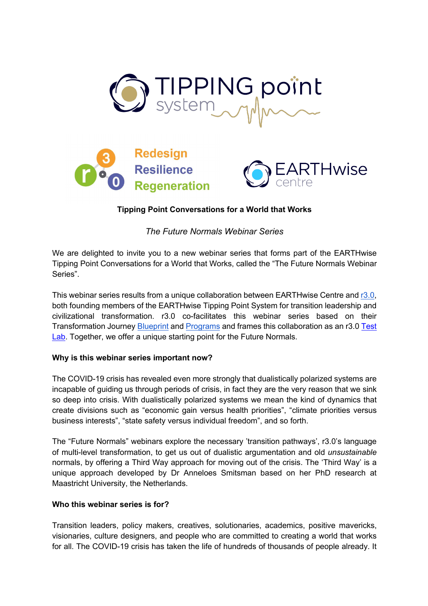



# **Tipping Point Conversations for a World that Works**

*The Future Normals Webinar Series*

We are delighted to invite you to a new webinar series that forms part of the EARTHwise Tipping Point Conversations for a World that Works, called the "The Future Normals Webinar Series".

This webinar series results from a unique collaboration between EARTHwise Centre and r3.0, both founding members of the EARTHwise Tipping Point System for transition leadership and civilizational transformation. r3.0 co-facilitates this webinar series based on their Transformation Journey Blueprint and Programs and frames this collaboration as an r3.0 Test Lab. Together, we offer a unique starting point for the Future Normals.

### **Why is this webinar series important now?**

The COVID-19 crisis has revealed even more strongly that dualistically polarized systems are incapable of guiding us through periods of crisis, in fact they are the very reason that we sink so deep into crisis. With dualistically polarized systems we mean the kind of dynamics that create divisions such as "economic gain versus health priorities", "climate priorities versus business interests", "state safety versus individual freedom", and so forth.

The "Future Normals" webinars explore the necessary 'transition pathways', r3.0's language of multi-level transformation, to get us out of dualistic argumentation and old *unsustainable* normals, by offering a Third Way approach for moving out of the crisis. The 'Third Way' is a unique approach developed by Dr Anneloes Smitsman based on her PhD research at Maastricht University, the Netherlands.

## **Who this webinar series is for?**

Transition leaders, policy makers, creatives, solutionaries, academics, positive mavericks, visionaries, culture designers, and people who are committed to creating a world that works for all. The COVID-19 crisis has taken the life of hundreds of thousands of people already. It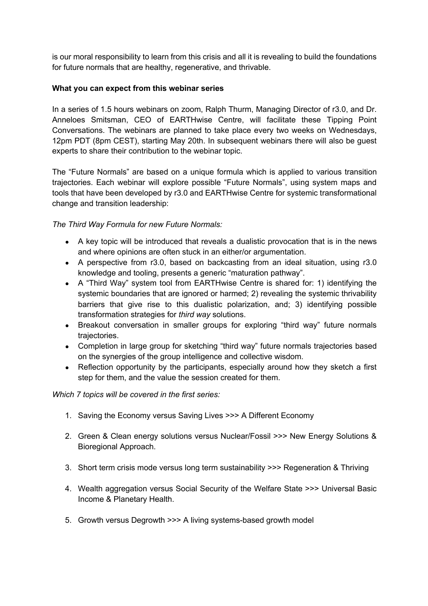is our moral responsibility to learn from this crisis and all it is revealing to build the foundations for future normals that are healthy, regenerative, and thrivable.

### **What you can expect from this webinar series**

In a series of 1.5 hours webinars on zoom, Ralph Thurm, Managing Director of r3.0, and Dr. Anneloes Smitsman, CEO of EARTHwise Centre, will facilitate these Tipping Point Conversations. The webinars are planned to take place every two weeks on Wednesdays, 12pm PDT (8pm CEST), starting May 20th. In subsequent webinars there will also be guest experts to share their contribution to the webinar topic.

The "Future Normals" are based on a unique formula which is applied to various transition trajectories. Each webinar will explore possible "Future Normals", using system maps and tools that have been developed by r3.0 and EARTHwise Centre for systemic transformational change and transition leadership:

## *The Third Way Formula for new Future Normals:*

- A key topic will be introduced that reveals a dualistic provocation that is in the news and where opinions are often stuck in an either/or argumentation.
- A perspective from r3.0, based on backcasting from an ideal situation, using r3.0 knowledge and tooling, presents a generic "maturation pathway".
- A "Third Way" system tool from EARTHwise Centre is shared for: 1) identifying the systemic boundaries that are ignored or harmed; 2) revealing the systemic thrivability barriers that give rise to this dualistic polarization, and; 3) identifying possible transformation strategies for *third way* solutions.
- Breakout conversation in smaller groups for exploring "third way" future normals trajectories.
- Completion in large group for sketching "third way" future normals trajectories based on the synergies of the group intelligence and collective wisdom.
- Reflection opportunity by the participants, especially around how they sketch a first step for them, and the value the session created for them.

### *Which 7 topics will be covered in the first series:*

- 1. Saving the Economy versus Saving Lives >>> A Different Economy
- 2. Green & Clean energy solutions versus Nuclear/Fossil >>> New Energy Solutions & Bioregional Approach.
- 3. Short term crisis mode versus long term sustainability >>> Regeneration & Thriving
- 4. Wealth aggregation versus Social Security of the Welfare State >>> Universal Basic Income & Planetary Health.
- 5. Growth versus Degrowth >>> A living systems-based growth model